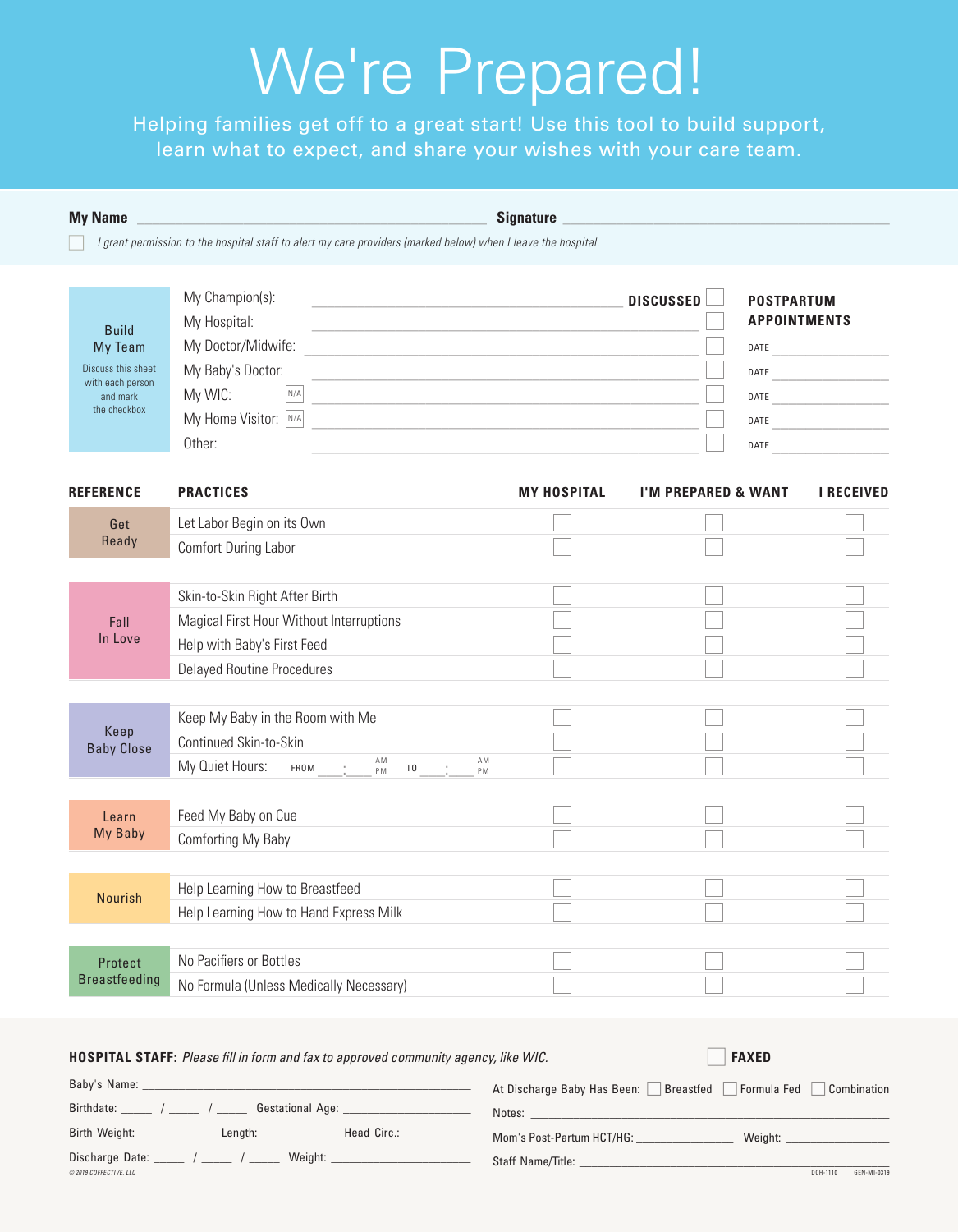# We're Prepared!

Helping families get off to a great start! Use this tool to build support, learn what to expect, and share your wishes with your care team.

| <b>My Name</b>                                                                                |                                                                                                                                                | <b>Signature</b>                                    |                                                                               |                     |
|-----------------------------------------------------------------------------------------------|------------------------------------------------------------------------------------------------------------------------------------------------|-----------------------------------------------------|-------------------------------------------------------------------------------|---------------------|
|                                                                                               | I grant permission to the hospital staff to alert my care providers (marked below) when I leave the hospital.                                  |                                                     |                                                                               |                     |
| <b>Build</b><br>My Team<br>Discuss this sheet<br>with each person<br>and mark<br>the checkbox | My Champion(s):<br>My Hospital:<br>My Doctor/Midwife:<br>My Baby's Doctor:<br>My WIC:<br>N/A<br>My Home Visitor: $ N/A $<br>Other:             | <u> 1989 - Johann Barbara, martxa alemaniar arg</u> | <b>DISCUSSED</b><br><b>POSTPARTUM</b><br>DATE<br>DATE<br>DATE<br>DATE<br>DATE | <b>APPOINTMENTS</b> |
| <b>REFERENCE</b>                                                                              | <b>PRACTICES</b>                                                                                                                               | <b>MY HOSPITAL</b>                                  | <b>I'M PREPARED &amp; WANT</b>                                                | <b>I RECEIVED</b>   |
| Get                                                                                           | Let Labor Begin on its Own                                                                                                                     |                                                     |                                                                               |                     |
| Ready                                                                                         | Comfort During Labor                                                                                                                           |                                                     |                                                                               |                     |
| Fall<br>In Love                                                                               | Skin-to-Skin Right After Birth<br>Magical First Hour Without Interruptions<br>Help with Baby's First Feed<br><b>Delayed Routine Procedures</b> |                                                     |                                                                               |                     |
| Keep<br><b>Baby Close</b>                                                                     | Keep My Baby in the Room with Me<br>Continued Skin-to-Skin<br>AM<br>My Quiet Hours:<br>FROM<br>T <sub>0</sub><br>PM                            | AM<br>PM                                            |                                                                               |                     |
| Learn<br>My Baby                                                                              | Feed My Baby on Cue<br>Comforting My Baby                                                                                                      |                                                     |                                                                               |                     |
| <b>Nourish</b>                                                                                | Help Learning How to Breastfeed<br>Help Learning How to Hand Express Milk                                                                      |                                                     |                                                                               |                     |
| Protect<br><b>Breastfeeding</b>                                                               | No Pacifiers or Bottles<br>No Formula (Unless Medically Necessary)                                                                             |                                                     |                                                                               |                     |

| Baby's Name:                            | Formula Fed<br>At Discharge Baby Has Been:<br>Breastfed<br>Combination |
|-----------------------------------------|------------------------------------------------------------------------|
| Birthdate:<br><b>Gestational Age:</b>   | Notes:                                                                 |
| Birth Weight:<br>Head Circ.:<br>Length: | Mom's Post-Partum HCT/HG:<br>Weight:                                   |
| Discharge Date:<br>Weight:              | Staff Name/Title:                                                      |
| $@$ 2019 COFFECTIVE $H$ C               | GEN-MI-0319<br>DCH-1110                                                |